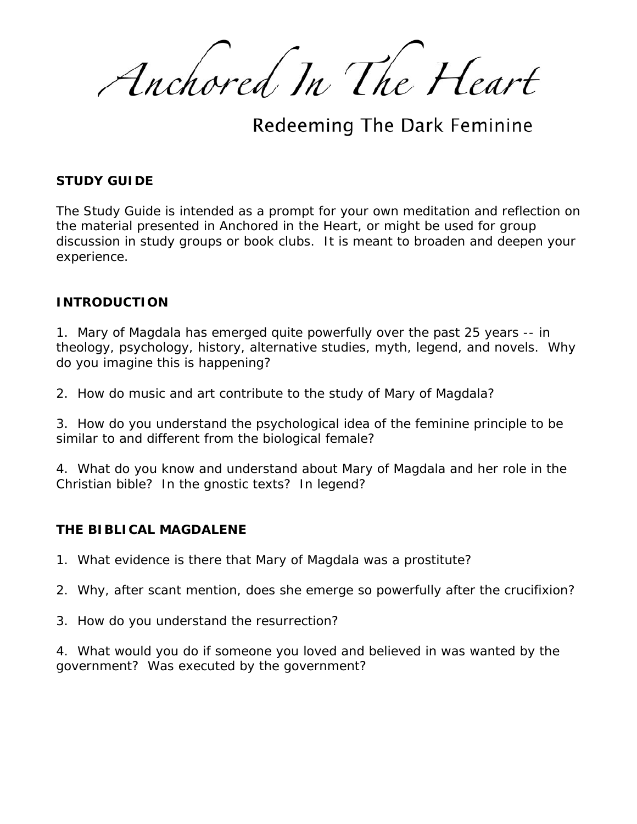Anchored In The Heart

Redeeming The Dark Feminine

### **STUDY GUIDE**

The Study Guide is intended as a prompt for your own meditation and reflection on the material presented in *Anchored in the Heart*, or might be used for group discussion in study groups or book clubs. It is meant to broaden and deepen your experience.

### **INTRODUCTION**

1. Mary of Magdala has emerged quite powerfully over the past 25 years -- in theology, psychology, history, alternative studies, myth, legend, and novels. Why do you imagine this is happening?

2. How do music and art contribute to the study of Mary of Magdala?

3. How do you understand the psychological idea of the feminine principle to be similar to and different from the biological female?

4. What do you know and understand about Mary of Magdala and her role in the Christian bible? In the gnostic texts? In legend?

### **THE BIBLICAL MAGDALENE**

1. What evidence is there that Mary of Magdala was a prostitute?

- 2. Why, after scant mention, does she emerge so powerfully after the crucifixion?
- 3. How do you understand the resurrection?

4. What would you do if someone you loved and believed in was wanted by the government? Was executed by the government?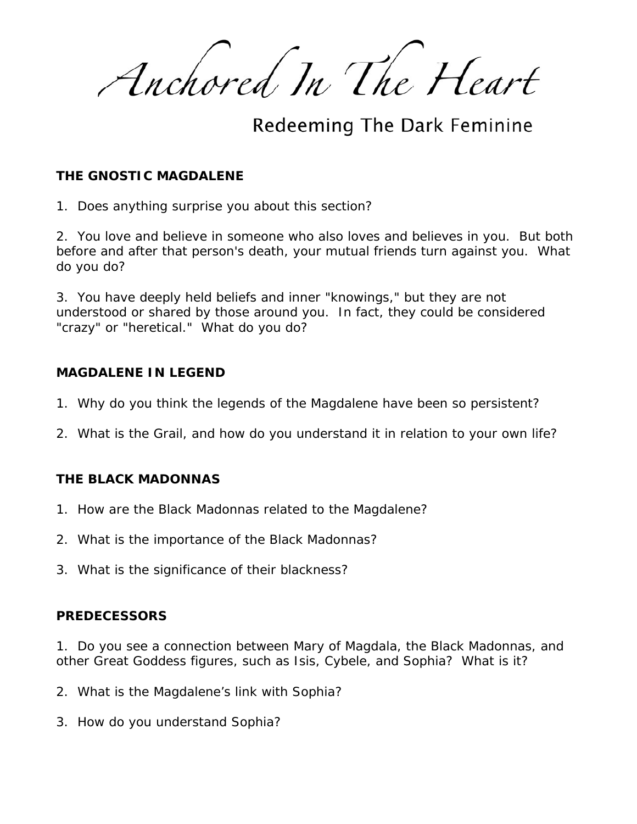Anchored In The Heart

Redeeming The Dark Feminine

## **THE GNOSTIC MAGDALENE**

1. Does anything surprise you about this section?

2. You love and believe in someone who also loves and believes in you. But both before and after that person's death, your mutual friends turn against you. What do you do?

3. You have deeply held beliefs and inner "knowings," but they are not understood or shared by those around you. In fact, they could be considered "crazy" or "heretical." What do you do?

### **MAGDALENE IN LEGEND**

- 1. Why do you think the legends of the Magdalene have been so persistent?
- 2. What is the Grail, and how do you understand it in relation to your own life?

# **THE BLACK MADONNAS**

- 1. How are the Black Madonnas related to the Magdalene?
- 2. What is the importance of the Black Madonnas?
- 3. What is the significance of their blackness?

### **PREDECESSORS**

1. Do you see a connection between Mary of Magdala, the Black Madonnas, and other Great Goddess figures, such as Isis, Cybele, and Sophia? What is it?

- 2. What is the Magdalene's link with Sophia?
- 3. How do you understand Sophia?